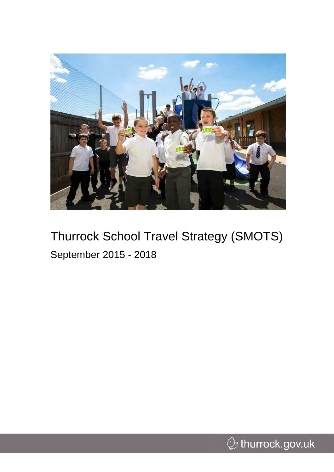

# Thurrock School Travel Strategy (SMOTS) September 2015 - 2018

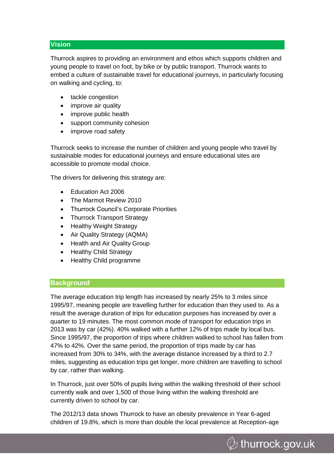# **Vision**

Thurrock aspires to providing an environment and ethos which supports children and young people to travel on foot, by bike or by public transport. Thurrock wants to embed a culture of sustainable travel for educational journeys, in particularly focusing on walking and cycling, to:

- tackle congestion
- improve air quality
- improve public health
- support community cohesion
- improve road safety

Thurrock seeks to increase the number of children and young people who travel by sustainable modes for educational journeys and ensure educational sites are accessible to promote modal choice.

The drivers for delivering this strategy are:

- Education Act 2006
- The Marmot Review 2010
- Thurrock Council's Corporate Priorities
- Thurrock Transport Strategy
- Healthy Weight Strategy
- Air Quality Strategy (AQMA)
- Health and Air Quality Group
- Healthy Child Strategy
- Healthy Child programme

# **Background**

The average education trip length has increased by nearly 25% to 3 miles since 1995/97, meaning people are travelling further for education than they used to. As a result the average duration of trips for education purposes has increased by over a quarter to 19 minutes. The most common mode of transport for education trips in 2013 was by car (42%). 40% walked with a further 12% of trips made by local bus. Since 1995/97, the proportion of trips where children walked to school has fallen from 47% to 42%. Over the same period, the proportion of trips made by car has increased from 30% to 34%, with the average distance increased by a third to 2.7 miles, suggesting as education trips get longer, more children are travelling to school by car, rather than walking.

In Thurrock, just over 50% of pupils living within the walking threshold of their school currently walk and over 1,500 of those living within the walking threshold are currently driven to school by car.

The 2012/13 data shows Thurrock to have an obesity prevalence in Year 6-aged children of 19.8%, which is more than double the local prevalence at Reception-age

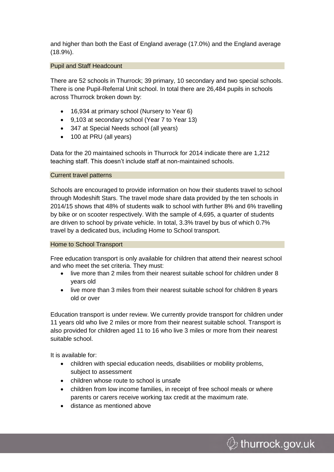and higher than both the East of England average (17.0%) and the England average (18.9%).

# Pupil and Staff Headcount

There are 52 schools in Thurrock; 39 primary, 10 secondary and two special schools. There is one Pupil-Referral Unit school. In total there are 26,484 pupils in schools across Thurrock broken down by:

- 16,934 at primary school (Nursery to Year 6)
- 9,103 at secondary school (Year 7 to Year 13)
- 347 at Special Needs school (all years)
- 100 at PRU (all years)

Data for the 20 maintained schools in Thurrock for 2014 indicate there are 1,212 teaching staff. This doesn't include staff at non-maintained schools.

# Current travel patterns

Schools are encouraged to provide information on how their students travel to school through Modeshift Stars. The travel mode share data provided by the ten schools in 2014/15 shows that 48% of students walk to school with further 8% and 6% travelling by bike or on scooter respectively. With the sample of 4,695, a quarter of students are driven to school by private vehicle. In total, 3.3% travel by bus of which 0.7% travel by a dedicated bus, including Home to School transport.

#### Home to School Transport

Free education transport is only available for children that attend their nearest school and who meet the set criteria. They must:

- live more than 2 miles from their nearest suitable school for children under 8 years old
- live more than 3 miles from their nearest suitable school for children 8 years old or over

Education transport is under review. We currently provide transport for children under 11 years old who live 2 miles or more from their nearest suitable school. Transport is also provided for children aged 11 to 16 who live 3 miles or more from their nearest suitable school.

It is available for:

- children with special education needs, disabilities or mobility problems, subject to assessment
- children whose route to school is unsafe
- children from low income families, in receipt of free school meals or where parents or carers receive working tax credit at the maximum rate.
- distance as mentioned above

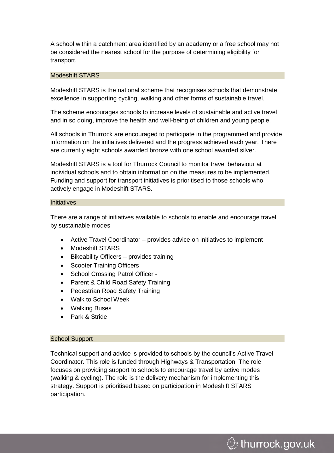A school within a catchment area identified by an academy or a free school may not be considered the nearest school for the purpose of determining eligibility for transport.

#### Modeshift STARS

Modeshift STARS is the national scheme that recognises schools that demonstrate excellence in supporting cycling, walking and other forms of sustainable travel.

The scheme encourages schools to increase levels of sustainable and active travel and in so doing, improve the health and well-being of children and young people.

All schools in Thurrock are encouraged to participate in the programmed and provide information on the initiatives delivered and the progress achieved each year. There are currently eight schools awarded bronze with one school awarded silver.

Modeshift STARS is a tool for Thurrock Council to monitor travel behaviour at individual schools and to obtain information on the measures to be implemented. Funding and support for transport initiatives is prioritised to those schools who actively engage in Modeshift STARS.

#### **Initiatives**

There are a range of initiatives available to schools to enable and encourage travel by sustainable modes

- Active Travel Coordinator provides advice on initiatives to implement
- Modeshift STARS
- Bikeability Officers provides training
- Scooter Training Officers
- School Crossing Patrol Officer -
- Parent & Child Road Safety Training
- Pedestrian Road Safety Training
- Walk to School Week
- Walking Buses
- Park & Stride

#### School Support

Technical support and advice is provided to schools by the council's Active Travel Coordinator. This role is funded through Highways & Transportation. The role focuses on providing support to schools to encourage travel by active modes (walking & cycling). The role is the delivery mechanism for implementing this strategy. Support is prioritised based on participation in Modeshift STARS participation.

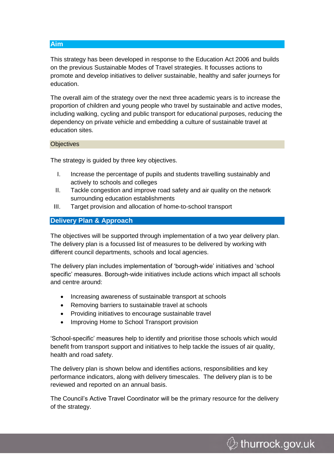**Aim**

This strategy has been developed in response to the Education Act 2006 and builds on the previous Sustainable Modes of Travel strategies. It focusses actions to promote and develop initiatives to deliver sustainable, healthy and safer journeys for education.

The overall aim of the strategy over the next three academic years is to increase the proportion of children and young people who travel by sustainable and active modes, including walking, cycling and public transport for educational purposes, reducing the dependency on private vehicle and embedding a culture of sustainable travel at education sites.

# **Objectives**

The strategy is guided by three key objectives.

- I. Increase the percentage of pupils and students travelling sustainably and actively to schools and colleges
- II. Tackle congestion and improve road safety and air quality on the network surrounding education establishments
- III. Target provision and allocation of home-to-school transport

# **Delivery Plan & Approach**

The objectives will be supported through implementation of a two year delivery plan. The delivery plan is a focussed list of measures to be delivered by working with different council departments, schools and local agencies.

The delivery plan includes implementation of 'borough-wide' initiatives and 'school specific' measures. Borough-wide initiatives include actions which impact all schools and centre around:

- Increasing awareness of sustainable transport at schools
- Removing barriers to sustainable travel at schools
- Providing initiatives to encourage sustainable travel
- Improving Home to School Transport provision

'School-specific' measures help to identify and prioritise those schools which would benefit from transport support and initiatives to help tackle the issues of air quality, health and road safety.

The delivery plan is shown below and identifies actions, responsibilities and key performance indicators, along with delivery timescales. The delivery plan is to be reviewed and reported on an annual basis.

The Council's Active Travel Coordinator will be the primary resource for the delivery of the strategy.

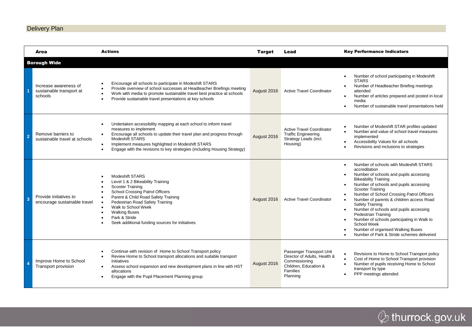# Delivery Plan

|                     | Area                                                         | <b>Actions</b>                                                                                                                                                                                                                                                                                                                                    | <b>Target</b> | Lead                                                                                                                              | <b>Key Performance Indicators</b>                                                                                                                                                                                                                                                                                                                                                                                                                                                                                                                                                     |  |  |  |  |
|---------------------|--------------------------------------------------------------|---------------------------------------------------------------------------------------------------------------------------------------------------------------------------------------------------------------------------------------------------------------------------------------------------------------------------------------------------|---------------|-----------------------------------------------------------------------------------------------------------------------------------|---------------------------------------------------------------------------------------------------------------------------------------------------------------------------------------------------------------------------------------------------------------------------------------------------------------------------------------------------------------------------------------------------------------------------------------------------------------------------------------------------------------------------------------------------------------------------------------|--|--|--|--|
| <b>Borough Wide</b> |                                                              |                                                                                                                                                                                                                                                                                                                                                   |               |                                                                                                                                   |                                                                                                                                                                                                                                                                                                                                                                                                                                                                                                                                                                                       |  |  |  |  |
|                     | Increase awareness of<br>sustainable transport at<br>schools | Encourage all schools to participate in Modeshift STARS<br>Provide overview of school successes at Headteacher Briefings meeting<br>Work with media to promote sustainable travel best practice at schools<br>Provide sustainable travel presentations at key schools                                                                             | August 2016   | <b>Active Travel Coordinator</b>                                                                                                  | Number of school participating in Modeshift<br><b>STARS</b><br>Number of Headteacher Briefing meetings<br>attended<br>Number of articles prepared and posted in local<br>$\bullet$<br>media<br>Number of sustainable travel presentations held<br>$\bullet$                                                                                                                                                                                                                                                                                                                           |  |  |  |  |
| 2                   | Remove barriers to<br>sustainable travel at schools          | Undertaken accessibility mapping at each school to inform travel<br>measures to implement<br>Encourage all schools to update their travel plan and progress through<br>$\bullet$<br>Modeshift STARS<br>Implement measures highlighted in Modeshift STARS<br>$\bullet$<br>Engage with the revisions to key strategies (including Housing Strategy) | August 2016   | <b>Active Travel Coordinator</b><br><b>Traffic Engineering</b><br>Strategy Leads (incl.<br>Housing)                               | Number of Modeshift STAR profiles updated<br>$\bullet$<br>Number and value of school travel measures<br>$\bullet$<br>implemented<br>Accessibility Values for all schools<br>Revisions and inclusions to strategies                                                                                                                                                                                                                                                                                                                                                                    |  |  |  |  |
|                     | Provide initiatives to<br>encourage sustainable travel       | Modeshift STARS<br>Level 1 & 2 Bikeability Training<br>Scooter Training<br>School Crossing Patrol Officers<br>Parent & Child Road Safety Training<br>Pedestrian Road Safety Training<br>Walk to School Week<br><b>Walking Buses</b><br>Park & Stride<br>Seek additional funding sources for initiatives                                           | August 2016   | <b>Active Travel Coordinator</b>                                                                                                  | Number of schools with Modeshift STARS<br>accreditation<br>Number of schools and pupils accessing<br><b>Bikeability Training</b><br>Number of schools and pupils accessing<br>$\bullet$<br>Scooter Training<br>Number of School Crossing Patrol Officers<br>Number of parents & children access Road<br>$\bullet$<br><b>Safety Training</b><br>Number of schools and pupils accessing<br>$\bullet$<br>Pedestrian Training<br>Number of schools participating in Walk to<br>$\bullet$<br>School Week<br>Number of organised Walking Buses<br>Number of Park & Stride schemes delivered |  |  |  |  |
|                     | Improve Home to School<br>Transport provision                | Continue with revision of Home to School Transport policy<br>Review Home to School transport allocations and suitable transport<br>initiatives<br>Assess school expansion and new development plans in line with HST<br>$\bullet$<br>allocations<br>Engage with the Pupil Placement Planning group                                                | August 2016   | Passenger Transport Unit<br>Director of Adults, Health &<br>Commissioning<br>Children, Education &<br><b>Families</b><br>Planning | Revisions to Home to School Transport policy<br>$\bullet$<br>Cost of Home to School Transport provision<br>$\bullet$<br>Number of pupils receiving Home to School<br>transport by type<br>PPP meetings attended                                                                                                                                                                                                                                                                                                                                                                       |  |  |  |  |

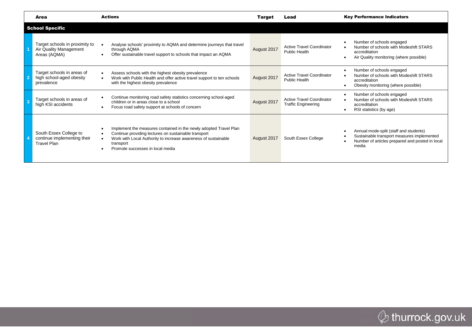|                         | Area                                                                        | <b>Actions</b>                                                                                                                                                                                                                               | Target      | Lead                                                           | <b>Key Performance Indicators</b>                                                                                                                             |  |  |  |  |
|-------------------------|-----------------------------------------------------------------------------|----------------------------------------------------------------------------------------------------------------------------------------------------------------------------------------------------------------------------------------------|-------------|----------------------------------------------------------------|---------------------------------------------------------------------------------------------------------------------------------------------------------------|--|--|--|--|
| <b>School Specific</b>  |                                                                             |                                                                                                                                                                                                                                              |             |                                                                |                                                                                                                                                               |  |  |  |  |
|                         | Target schools in proximity to<br>Air Quality Management<br>Areas (AQMA)    | Analyse schools' proximity to AQMA and determine journeys that travel<br>through AQMA<br>Offer sustainable travel support to schools that impact an AQMA                                                                                     | August 2017 | <b>Active Travel Coordinator</b><br><b>Public Health</b>       | Number of schools engaged<br>$\bullet$<br>Number of schools with Modeshift STARS<br>accreditation<br>Air Quality monitoring (where possible)<br>$\bullet$     |  |  |  |  |
|                         | Target schools in areas of<br>high school-aged obesity<br>prevalence        | Assess schools with the highest obesity prevalence<br>Work with Public Health and offer active travel support to ten schools<br>with the highest obesity prevalence                                                                          | August 2017 | <b>Active Travel Coordinator</b><br><b>Public Health</b>       | Number of schools engaged<br>$\bullet$<br>Number of schools with Modeshift STARS<br>accreditation<br>Obesity monitoring (where possible)<br>$\bullet$         |  |  |  |  |
| $\overline{\mathbf{3}}$ | Target schools in areas of<br>high KSI accidents                            | Continue monitoring road safety statistics concerning school-aged<br>children or in areas close to a school<br>Focus road safety support at schools of concern                                                                               | August 2017 | <b>Active Travel Coordinator</b><br><b>Traffic Engineering</b> | Number of schools engaged<br>$\bullet$<br>Number of schools with Modeshift STARS<br>accreditation<br>RSI statistics (by age)<br>$\bullet$                     |  |  |  |  |
|                         | South Essex College to<br>continue implementing their<br><b>Travel Plan</b> | Implement the measures contained in the newly adopted Travel Plan<br>Continue providing lectures on sustainable transport<br>Work with Local Authority to increase awareness of sustainable<br>transport<br>Promote successes in local media | August 2017 | South Essex College                                            | Annual mode-split (staff and students)<br>$\bullet$<br>Sustainable transport measures implemented<br>Number of articles prepared and posted in local<br>media |  |  |  |  |